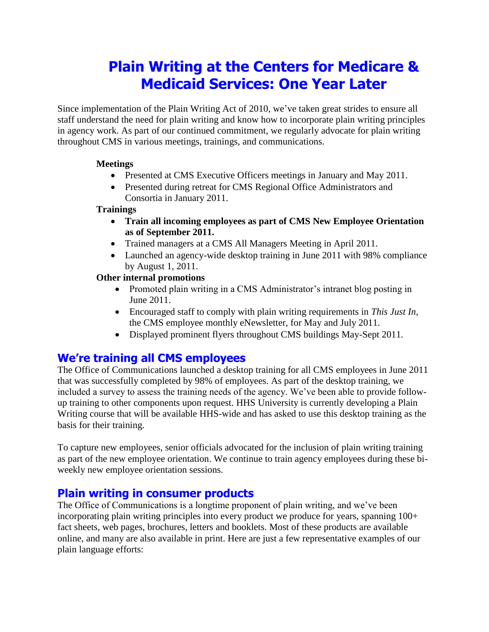# **Plain Writing at the Centers for Medicare & Medicaid Services: One Year Later**

Since implementation of the Plain Writing Act of 2010, we've taken great strides to ensure all staff understand the need for plain writing and know how to incorporate plain writing principles in agency work. As part of our continued commitment, we regularly advocate for plain writing throughout CMS in various meetings, trainings, and communications.

### **Meetings**

- Presented at CMS Executive Officers meetings in January and May 2011.
- Presented during retreat for CMS Regional Office Administrators and Consortia in January 2011.

### **Trainings**

- **Train all incoming employees as part of CMS New Employee Orientation as of September 2011.**
- Trained managers at a CMS All Managers Meeting in April 2011.
- Launched an agency-wide desktop training in June 2011 with 98% compliance by August 1, 2011.

### **Other internal promotions**

- Promoted plain writing in a CMS Administrator's intranet blog posting in June 2011.
- Encouraged staff to comply with plain writing requirements in *This Just In,* the CMS employee monthly eNewsletter, for May and July 2011.
- Displayed prominent flyers throughout CMS buildings May-Sept 2011.

## **We're training all CMS employees**

The Office of Communications launched a desktop training for all CMS employees in June 2011 that was successfully completed by 98% of employees. As part of the desktop training, we included a survey to assess the training needs of the agency. We've been able to provide followup training to other components upon request. HHS University is currently developing a Plain Writing course that will be available HHS-wide and has asked to use this desktop training as the basis for their training.

To capture new employees, senior officials advocated for the inclusion of plain writing training as part of the new employee orientation. We continue to train agency employees during these biweekly new employee orientation sessions.

## **Plain writing in consumer products**

The Office of Communications is a longtime proponent of plain writing, and we've been incorporating plain writing principles into every product we produce for years, spanning 100+ fact sheets, web pages, brochures, letters and booklets. Most of these products are available online, and many are also available in print. Here are just a few representative examples of our plain language efforts: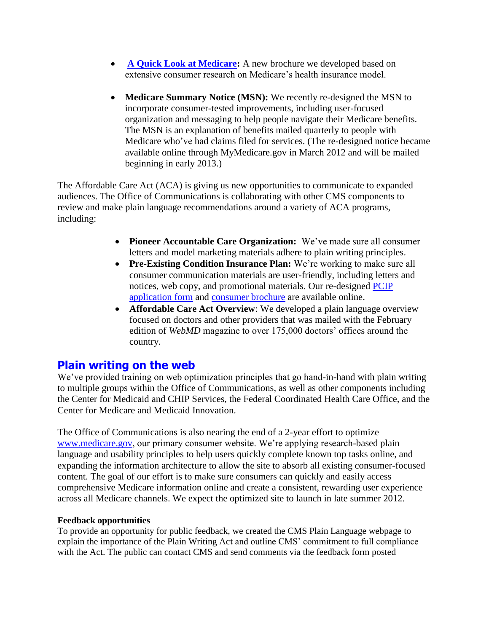- **[A Quick Look at Medicare:](http://www.medicare.gov/Publications/Pubs/pdf/11514.pdf)** A new brochure we developed based on extensive consumer research on Medicare's health insurance model.
- **Medicare Summary Notice (MSN):** We recently re-designed the MSN to incorporate consumer-tested improvements, including user-focused organization and messaging to help people navigate their Medicare benefits. The MSN is an explanation of benefits mailed quarterly to people with Medicare who've had claims filed for services. (The re-designed notice became available online through MyMedicare.gov in March 2012 and will be mailed beginning in early 2013.)

The Affordable Care Act (ACA) is giving us new opportunities to communicate to expanded audiences. The Office of Communications is collaborating with other CMS components to review and make plain language recommendations around a variety of ACA programs, including:

- **Pioneer Accountable Care Organization:** We've made sure all consumer letters and model marketing materials adhere to plain writing principles.
- **Pre-Existing Condition Insurance Plan:** We're working to make sure all consumer communication materials are user-friendly, including letters and notices, web copy, and promotional materials. Our re-designed [PCIP](https://www.pcip.gov/November%202011%20English%20Federal%20PCIP_EnrollmentForm_508.pdf)  [application](https://www.pcip.gov/November%202011%20English%20Federal%20PCIP_EnrollmentForm_508.pdf) form and [consumer brochure](http://www.healthcare.gov/news/brochures/pcip-federally-run.pdf) are available online.
- **Affordable Care Act Overview**: We developed a plain language overview focused on doctors and other providers that was mailed with the February edition of *WebMD* magazine to over 175,000 doctors' offices around the country.

## **Plain writing on the web**

We've provided training on web optimization principles that go hand-in-hand with plain writing to multiple groups within the Office of Communications, as well as other components including the Center for Medicaid and CHIP Services, the Federal Coordinated Health Care Office, and the Center for Medicare and Medicaid Innovation.

The Office of Communications is also nearing the end of a 2-year effort to optimize [www.medicare.gov,](http://www.medicare.gov/) our primary consumer website. We're applying research-based plain language and usability principles to help users quickly complete known top tasks online, and expanding the information architecture to allow the site to absorb all existing consumer-focused content. The goal of our effort is to make sure consumers can quickly and easily access comprehensive Medicare information online and create a consistent, rewarding user experience across all Medicare channels. We expect the optimized site to launch in late summer 2012.

### **Feedback opportunities**

To provide an opportunity for public feedback, we created the CMS Plain Language webpage to explain the importance of the Plain Writing Act and outline CMS' commitment to full compliance with the Act. The public can contact CMS and send comments via the feedback form posted